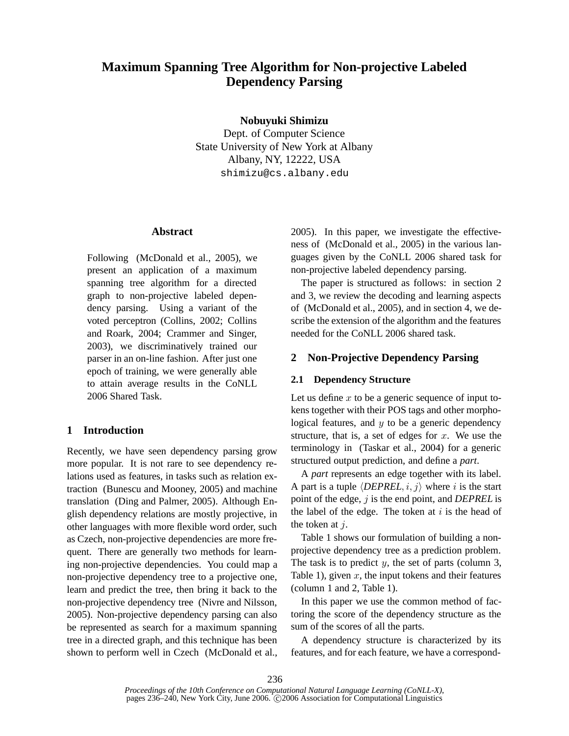# **Maximum Spanning Tree Algorithm for Non-projective Labeled Dependency Parsing**

**Nobuyuki Shimizu**

Dept. of Computer Science State University of New York at Albany Albany, NY, 12222, USA shimizu@cs.albany.edu

## **Abstract**

Following (McDonald et al., 2005), we present an application of a maximum spanning tree algorithm for a directed graph to non-projective labeled dependency parsing. Using a variant of the voted perceptron (Collins, 2002; Collins and Roark, 2004; Crammer and Singer, 2003), we discriminatively trained our parser in an on-line fashion. After just one epoch of training, we were generally able to attain average results in the CoNLL 2006 Shared Task

# **1 Introduction**

Recently, we have seen dependency parsing grow more popular. It is not rare to see dependency relations used as features, in tasks such as relation extraction (Bunescu and Mooney, 2005) and machine translation (Ding and Palmer, 2005). Although English dependency relations are mostly projective, in other languages with more flexible word order, such as Czech, non-projective dependencies are more frequent. There are generally two methods for learning non-projective dependencies. You could map a non-projective dependency tree to a projective one, learn and predict the tree, then bring it back to the non-projective dependency tree (Nivre and Nilsson, 2005). Non-projective dependency parsing can also be represented as search for a maximum spanning tree in a directed graph, and this technique has been shown to perform well in Czech (McDonald et al.,

2005). In this paper, we investigate the effectiveness of (McDonald et al., 2005) in the various languages given by the CoNLL 2006 shared task for non-projective labeled dependency parsing.

The paper is structured as follows: in section 2 and 3, we review the decoding and learning aspects of (McDonald et al., 2005), and in section 4, we describe the extension of the algorithm and the features needed for the CoNLL 2006 shared task.

# **2 Non-Projective Dependency Parsing**

#### **2.1 Dependency Structure**

Let us define  $x$  to be a generic sequence of input tokens together with their POS tags and other morphological features, and  $y$  to be a generic dependency structure, that is, a set of edges for  $x$ . We use the terminology in (Taskar et al., 2004) for a generic structured output prediction, and define a *part*.

A *part* represents an edge together with its label. A part is a tuple  $\langle DEPREL, i, j \rangle$  where i is the start point of the edge, j is the end point, and *DEPREL* is the label of the edge. The token at  $i$  is the head of the token at  $i$ .

Table 1 shows our formulation of building a nonprojective dependency tree as a prediction problem. The task is to predict  $y$ , the set of parts (column 3, Table 1), given  $x$ , the input tokens and their features (column 1 and 2, Table 1).

In this paper we use the common method of factoring the score of the dependency structure as the sum of the scores of all the parts.

A dependency structure is characterized by its features, and for each feature, we have a correspond-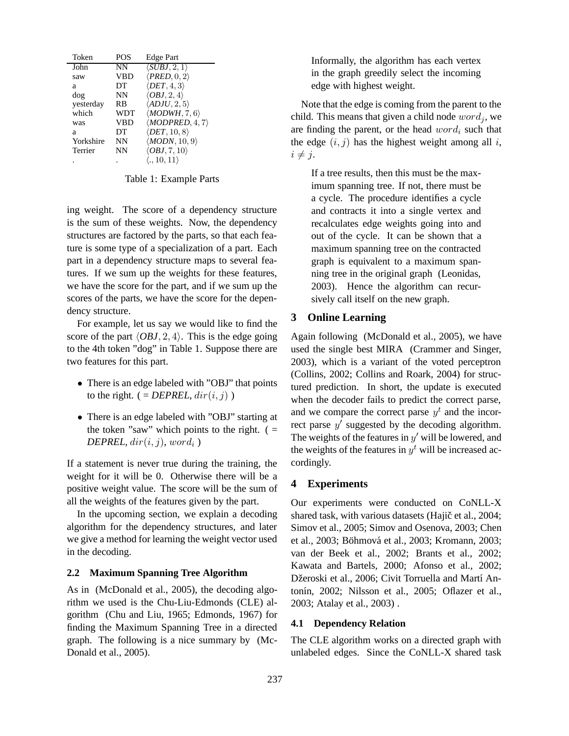| Token     | <b>POS</b> | Edge Part                       |
|-----------|------------|---------------------------------|
| John      | NN         | $\langle SUBJ, 2, 1 \rangle$    |
| saw       | VBD        | $\langle PRED, 0, 2 \rangle$    |
| а         | DТ         | $\langle DET, 4, 3 \rangle$     |
| dog       | NΝ         | $\langle OBJ, 2, 4 \rangle$     |
| yesterday | RB         | $\langle ADJU, 2, 5 \rangle$    |
| which     | <b>WDT</b> | $\langle MODWH, 7, 6 \rangle$   |
| was       | <b>VBD</b> | $\langle MODPRED, 4, 7 \rangle$ |
| а         | DТ         | $\langle DET, 10, 8 \rangle$    |
| Yorkshire | NΝ         | $\langle MODN, 10, 9 \rangle$   |
| Terrier   | NN         | $\langle OBJ, 7, 10 \rangle$    |
|           |            | $\langle .,10,11\rangle$        |

Table 1: Example Parts

ing weight. The score of a dependency structure is the sum of these weights. Now, the dependency structures are factored by the parts, so that each feature is some type of a specialization of a part. Each part in a dependency structure maps to several features. If we sum up the weights for these features, we have the score for the part, and if we sum up the scores of the parts, we have the score for the dependency structure.

For example, let us say we would like to find the score of the part  $\langle OBJ, 2, 4 \rangle$ . This is the edge going to the 4th token "dog" in Table 1. Suppose there are two features for this part.

- There is an edge labeled with "OBJ" that points to the right.  $( = DEPREL, dir(i, j) )$
- There is an edge labeled with "OBJ" starting at the token "saw" which points to the right.  $($  =  $DEPREL, dir(i, j), word_i$ )

If a statement is never true during the training, the weight for it will be 0. Otherwise there will be a positive weight value. The score will be the sum of all the weights of the features given by the part.

In the upcoming section, we explain a decoding algorithm for the dependency structures, and later we give a method for learning the weight vector used in the decoding.

#### **2.2 Maximum Spanning Tree Algorithm**

As in (McDonald et al., 2005), the decoding algorithm we used is the Chu-Liu-Edmonds (CLE) algorithm (Chu and Liu, 1965; Edmonds, 1967) for finding the Maximum Spanning Tree in a directed graph. The following is a nice summary by (Mc-Donald et al., 2005).

Informally, the algorithm has each vertex in the graph greedily select the incoming edge with highest weight.

Note that the edge is coming from the parent to the child. This means that given a child node  $word_i$ , we are finding the parent, or the head  $word_i$  such that the edge  $(i, j)$  has the highest weight among all i,  $i \neq j$ .

If a tree results, then this must be the maximum spanning tree. If not, there must be a cycle. The procedure identifies a cycle and contracts it into a single vertex and recalculates edge weights going into and out of the cycle. It can be shown that a maximum spanning tree on the contracted graph is equivalent to a maximum spanning tree in the original graph (Leonidas, 2003). Hence the algorithm can recursively call itself on the new graph.

## **3 Online Learning**

Again following (McDonald et al., 2005), we have used the single best MIRA (Crammer and Singer, 2003), which is a variant of the voted perceptron (Collins, 2002; Collins and Roark, 2004) for structured prediction. In short, the update is executed when the decoder fails to predict the correct parse, and we compare the correct parse  $y<sup>t</sup>$  and the incorrect parse  $y'$  suggested by the decoding algorithm. The weights of the features in  $y'$  will be lowered, and the weights of the features in  $y<sup>t</sup>$  will be increased accordingly.

#### **4 Experiments**

Our experiments were conducted on CoNLL-X shared task, with various datasets (Hajič et al., 2004; Simov et al., 2005; Simov and Osenova, 2003; Chen et al., 2003; Böhmová et al., 2003; Kromann, 2003; van der Beek et al., 2002; Brants et al., 2002; Kawata and Bartels, 2000; Afonso et al., 2002; Džeroski et al., 2006; Civit Torruella and Martí Antonín, 2002; Nilsson et al., 2005; Oflazer et al., 2003; Atalay et al., 2003) .

## **4.1 Dependency Relation**

The CLE algorithm works on a directed graph with unlabeled edges. Since the CoNLL-X shared task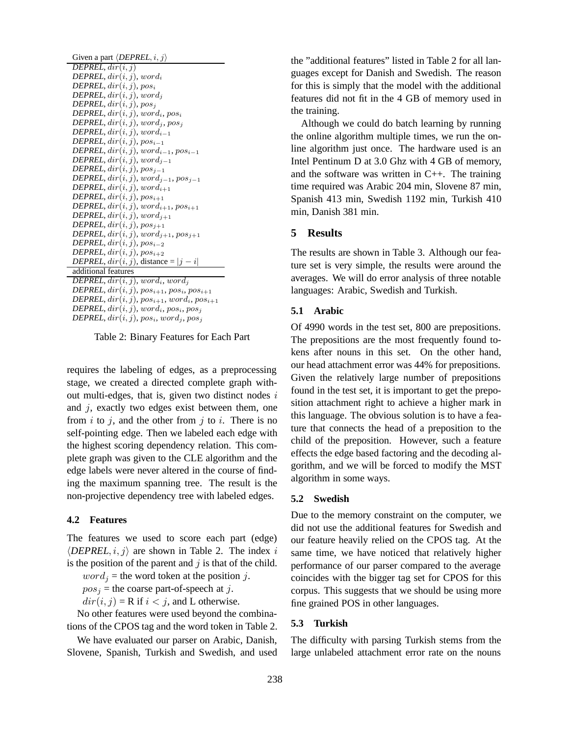| Given a part $\langle DEPREL, i, j \rangle$                         |
|---------------------------------------------------------------------|
| DEPREL, dir(i, i)                                                   |
| DEPREL, $dir(i, j)$ , word <sub>i</sub>                             |
| DEPREL, $dir(i, j)$ , pos <sub>i</sub>                              |
| <b>DEPREL</b> , $dir(i, j)$ , word <sub>i</sub>                     |
| DEPREL, $dir(i, j)$ , $pos_j$                                       |
| DEPREL, $dir(i, j)$ , $word_i$ , $pos_i$                            |
| DEPREL, $dir(i, j)$ , $word_j$ , $pos_j$                            |
| DEPREL, $dir(i, j)$ , wor $d_{i-1}$                                 |
| DEPREL, $dir(i, j)$ , $pos_{i-1}$                                   |
| DEPREL, $dir(i, j)$ , $word_{i-1}$ , $pos_{i-1}$                    |
| DEPREL, $dir(i, j)$ , $word_{j-1}$                                  |
| DEPREL, $dir(i, j)$ , $pos_{i-1}$                                   |
| DEPREL, $dir(i, j)$ , $word_{i-1}$ , $pos_{i-1}$                    |
| DEPREL, $dir(i, j)$ , wor $d_{i+1}$                                 |
| DEPREL, $dir(i, j)$ , $pos_{i+1}$                                   |
| DEPREL, $dir(i, j)$ , $word_{i+1}$ , $pos_{i+1}$                    |
| DEPREL, $dir(i, j)$ , wor $d_{i+1}$                                 |
| DEPREL, $dir(i, j)$ , $pos_{i+1}$                                   |
| <b>DEPREL</b> , $dir(i, j)$ , $word_{i+1}$ , $pos_{i+1}$            |
| DEPREL, $dir(i, j)$ , $pos_{i-2}$                                   |
| DEPREL, $dir(i, j)$ , $pos_{i+2}$                                   |
| <i>DEPREL</i> , $dir(i, j)$ , distance = $ j - i $                  |
| additional features                                                 |
| <b>DEPREL</b> , $dir(i, j)$ , word <sub>i</sub> , word <sub>j</sub> |
| DEPREL, $dir(i, j)$ , $pos_{i+1}$ , $pos_i$ , $pos_{i+1}$           |

 $\emph{DEPREL}, dir(i, j), pos_{i+1}, word_i, pos_{i+1}$  $DEPREL, dir(i, j), word_i, pos_i, pos_j$ 

 $DEPREL, dir(i, j), pos_i, word_j, pos_j$ 

Table 2: Binary Features for Each Part

requires the labeling of edges, as a preprocessing stage, we created a directed complete graph without multi-edges, that is, given two distinct nodes  $i$ and  $j$ , exactly two edges exist between them, one from  $i$  to  $j$ , and the other from  $j$  to  $i$ . There is no self-pointing edge. Then we labeled each edge with the highest scoring dependency relation. This complete graph was given to the CLE algorithm and the edge labels were never altered in the course of finding the maximum spanning tree. The result is the non-projective dependency tree with labeled edges.

#### **4.2 Features**

The features we used to score each part (edge)  $\langle DEPREL, i, j \rangle$  are shown in Table 2. The index i is the position of the parent and  $j$  is that of the child.

 $word_j$  = the word token at the position j.

 $pos<sub>j</sub>$  = the coarse part-of-speech at j.

 $dir(i, j) = R$  if  $i < j$ , and L otherwise.

No other features were used beyond the combinations of the CPOS tag and the word token in Table 2.

We have evaluated our parser on Arabic, Danish, Slovene, Spanish, Turkish and Swedish, and used the "additional features" listed in Table 2 for all languages except for Danish and Swedish. The reason for this is simply that the model with the additional features did not fit in the 4 GB of memory used in the training.

Although we could do batch learning by running the online algorithm multiple times, we run the online algorithm just once. The hardware used is an Intel Pentinum D at 3.0 Ghz with 4 GB of memory, and the software was written in C++. The training time required was Arabic 204 min, Slovene 87 min, Spanish 413 min, Swedish 1192 min, Turkish 410 min, Danish 381 min.

# **5 Results**

The results are shown in Table 3. Although our feature set is very simple, the results were around the averages. We will do error analysis of three notable languages: Arabic, Swedish and Turkish.

## **5.1 Arabic**

Of 4990 words in the test set, 800 are prepositions. The prepositions are the most frequently found tokens after nouns in this set. On the other hand, our head attachment error was 44% for prepositions. Given the relatively large number of prepositions found in the test set, it is important to get the preposition attachment right to achieve a higher mark in this language. The obvious solution is to have a feature that connects the head of a preposition to the child of the preposition. However, such a feature effects the edge based factoring and the decoding algorithm, and we will be forced to modify the MST algorithm in some ways.

#### **5.2 Swedish**

Due to the memory constraint on the computer, we did not use the additional features for Swedish and our feature heavily relied on the CPOS tag. At the same time, we have noticed that relatively higher performance of our parser compared to the average coincides with the bigger tag set for CPOS for this corpus. This suggests that we should be using more fine grained POS in other languages.

## **5.3 Turkish**

The difficulty with parsing Turkish stems from the large unlabeled attachment error rate on the nouns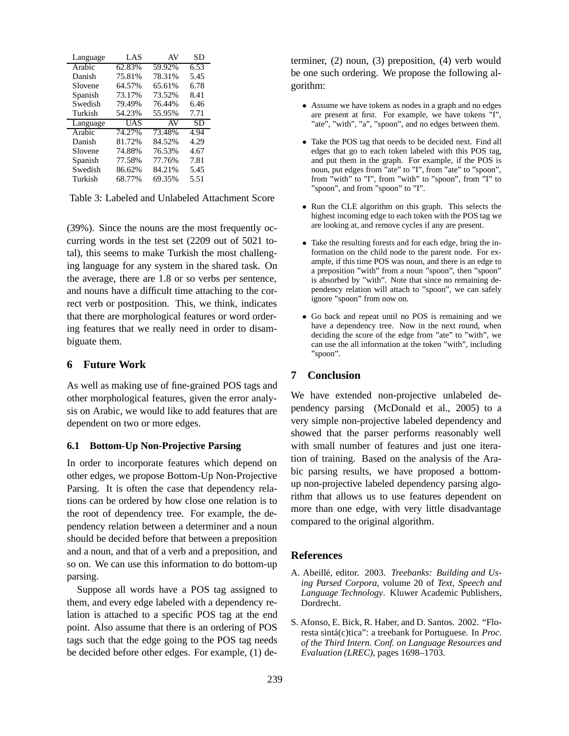| Language | LAS    | AV     | SD   |
|----------|--------|--------|------|
| Arabic   | 62.83% | 59.92% | 6.53 |
| Danish   | 75.81% | 78.31% | 5.45 |
| Slovene  | 64.57% | 65.61% | 6.78 |
| Spanish  | 73.17% | 73.52% | 8.41 |
| Swedish  | 79.49% | 76.44% | 6.46 |
| Turkish  | 54.23% | 55.95% | 7.71 |
|          |        |        |      |
| Language | UAS    | AV     | SD   |
| Arabic   | 74.27% | 73.48% | 4.94 |
| Danish   | 81.72% | 84.52% | 4.29 |
| Slovene  | 74.88% | 76.53% | 4.67 |
| Spanish  | 77.58% | 77.76% | 7.81 |
| Swedish  | 86.62% | 84.21% | 5.45 |

Table 3: Labeled and Unlabeled Attachment Score

(39%). Since the nouns are the most frequently occurring words in the test set (2209 out of 5021 total), this seems to make Turkish the most challenging language for any system in the shared task. On the average, there are 1.8 or so verbs per sentence, and nouns have a difficult time attaching to the correct verb or postposition. This, we think, indicates that there are morphological features or word ordering features that we really need in order to disambiguate them.

# **6 Future Work**

As well as making use of fine-grained POS tags and other morphological features, given the error analysis on Arabic, we would like to add features that are dependent on two or more edges.

#### **6.1 Bottom-Up Non-Projective Parsing**

In order to incorporate features which depend on other edges, we propose Bottom-Up Non-Projective Parsing. It is often the case that dependency relations can be ordered by how close one relation is to the root of dependency tree. For example, the dependency relation between a determiner and a noun should be decided before that between a preposition and a noun, and that of a verb and a preposition, and so on. We can use this information to do bottom-up parsing.

Suppose all words have a POS tag assigned to them, and every edge labeled with a dependency relation is attached to a specific POS tag at the end point. Also assume that there is an ordering of POS tags such that the edge going to the POS tag needs be decided before other edges. For example, (1) determiner, (2) noun, (3) preposition, (4) verb would be one such ordering. We propose the following algorithm:

- Assume we have tokens as nodes in a graph and no edges are present at first. For example, we have tokens "I", "ate", "with", "a", "spoon", and no edges between them.
- Take the POS tag that needs to be decided next. Find all edges that go to each token labeled with this POS tag, and put them in the graph. For example, if the POS is noun, put edges from "ate" to "I", from "ate" to "spoon", from "with" to "I", from "with" to "spoon", from "I" to "spoon", and from "spoon" to "I".
- Run the CLE algorithm on this graph. This selects the highest incoming edge to each token with the POS tag we are looking at, and remove cycles if any are present.
- Take the resulting forests and for each edge, bring the information on the child node to the parent node. For example, if this time POS was noun, and there is an edge to a preposition "with" from a noun "spoon", then "spoon" is absorbed by "with". Note that since no remaining dependency relation will attach to "spoon", we can safely ignore "spoon" from now on.
- Go back and repeat until no POS is remaining and we have a dependency tree. Now in the next round, when deciding the score of the edge from "ate" to "with", we can use the all information at the token "with", including "spoon".

## **7 Conclusion**

We have extended non-projective unlabeled dependency parsing (McDonald et al., 2005) to a very simple non-projective labeled dependency and showed that the parser performs reasonably well with small number of features and just one iteration of training. Based on the analysis of the Arabic parsing results, we have proposed a bottomup non-projective labeled dependency parsing algorithm that allows us to use features dependent on more than one edge, with very little disadvantage compared to the original algorithm.

#### **References**

- A. Abeillé, editor. 2003. *Treebanks: Building and Using Parsed Corpora*, volume 20 of *Text, Speech and Language Technology*. Kluwer Academic Publishers, Dordrecht.
- S. Afonso, E. Bick, R. Haber, and D. Santos. 2002. "Floresta sintá(c)tica": a treebank for Portuguese. In *Proc*. *of the Third Intern. Conf. on Language Resources and Evaluation (LREC)*, pages 1698–1703.